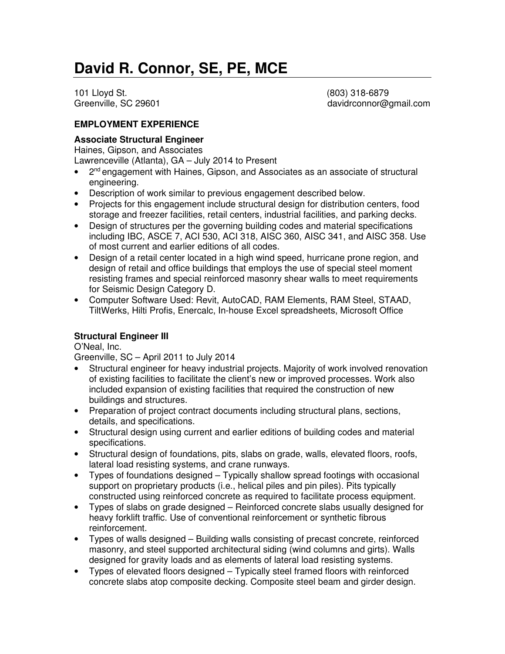101 Lloyd St. (803) 318-6879

Greenville, SC 29601 davidrconnor@gmail.com

#### **EMPLOYMENT EXPERIENCE**

#### **Associate Structural Engineer**

Haines, Gipson, and Associates

Lawrenceville (Atlanta), GA – July 2014 to Present

- 2<sup>nd</sup> engagement with Haines, Gipson, and Associates as an associate of structural engineering.
- Description of work similar to previous engagement described below.
- Projects for this engagement include structural design for distribution centers, food storage and freezer facilities, retail centers, industrial facilities, and parking decks.
- Design of structures per the governing building codes and material specifications including IBC, ASCE 7, ACI 530, ACI 318, AISC 360, AISC 341, and AISC 358. Use of most current and earlier editions of all codes.
- Design of a retail center located in a high wind speed, hurricane prone region, and design of retail and office buildings that employs the use of special steel moment resisting frames and special reinforced masonry shear walls to meet requirements for Seismic Design Category D.
- Computer Software Used: Revit, AutoCAD, RAM Elements, RAM Steel, STAAD, TiltWerks, Hilti Profis, Enercalc, In-house Excel spreadsheets, Microsoft Office

### **Structural Engineer III**

O'Neal, Inc.

Greenville, SC – April 2011 to July 2014

- Structural engineer for heavy industrial projects. Majority of work involved renovation of existing facilities to facilitate the client's new or improved processes. Work also included expansion of existing facilities that required the construction of new buildings and structures.
- Preparation of project contract documents including structural plans, sections, details, and specifications.
- Structural design using current and earlier editions of building codes and material specifications.
- Structural design of foundations, pits, slabs on grade, walls, elevated floors, roofs, lateral load resisting systems, and crane runways.
- Types of foundations designed Typically shallow spread footings with occasional support on proprietary products (i.e., helical piles and pin piles). Pits typically constructed using reinforced concrete as required to facilitate process equipment.
- Types of slabs on grade designed Reinforced concrete slabs usually designed for heavy forklift traffic. Use of conventional reinforcement or synthetic fibrous reinforcement.
- Types of walls designed Building walls consisting of precast concrete, reinforced masonry, and steel supported architectural siding (wind columns and girts). Walls designed for gravity loads and as elements of lateral load resisting systems.
- Types of elevated floors designed Typically steel framed floors with reinforced concrete slabs atop composite decking. Composite steel beam and girder design.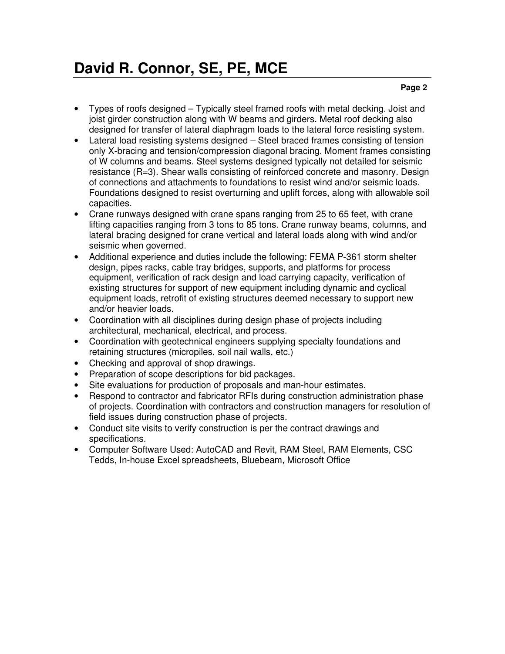#### **Page 2**

- Types of roofs designed Typically steel framed roofs with metal decking. Joist and joist girder construction along with W beams and girders. Metal roof decking also designed for transfer of lateral diaphragm loads to the lateral force resisting system.
- Lateral load resisting systems designed Steel braced frames consisting of tension only X-bracing and tension/compression diagonal bracing. Moment frames consisting of W columns and beams. Steel systems designed typically not detailed for seismic resistance (R=3). Shear walls consisting of reinforced concrete and masonry. Design of connections and attachments to foundations to resist wind and/or seismic loads. Foundations designed to resist overturning and uplift forces, along with allowable soil capacities.
- Crane runways designed with crane spans ranging from 25 to 65 feet, with crane lifting capacities ranging from 3 tons to 85 tons. Crane runway beams, columns, and lateral bracing designed for crane vertical and lateral loads along with wind and/or seismic when governed.
- Additional experience and duties include the following: FEMA P-361 storm shelter design, pipes racks, cable tray bridges, supports, and platforms for process equipment, verification of rack design and load carrying capacity, verification of existing structures for support of new equipment including dynamic and cyclical equipment loads, retrofit of existing structures deemed necessary to support new and/or heavier loads.
- Coordination with all disciplines during design phase of projects including architectural, mechanical, electrical, and process.
- Coordination with geotechnical engineers supplying specialty foundations and retaining structures (micropiles, soil nail walls, etc.)
- Checking and approval of shop drawings.
- Preparation of scope descriptions for bid packages.
- Site evaluations for production of proposals and man-hour estimates.
- Respond to contractor and fabricator RFIs during construction administration phase of projects. Coordination with contractors and construction managers for resolution of field issues during construction phase of projects.
- Conduct site visits to verify construction is per the contract drawings and specifications.
- Computer Software Used: AutoCAD and Revit, RAM Steel, RAM Elements, CSC Tedds, In-house Excel spreadsheets, Bluebeam, Microsoft Office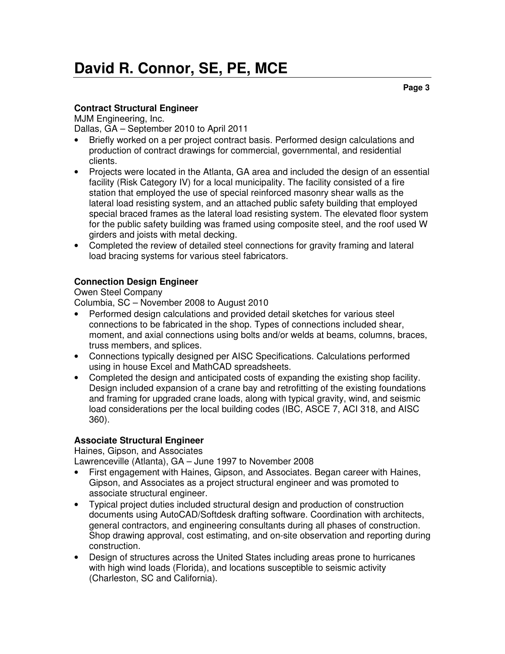#### **Contract Structural Engineer**

MJM Engineering, Inc.

Dallas, GA – September 2010 to April 2011

- Briefly worked on a per project contract basis. Performed design calculations and production of contract drawings for commercial, governmental, and residential clients.
- Projects were located in the Atlanta, GA area and included the design of an essential facility (Risk Category IV) for a local municipality. The facility consisted of a fire station that employed the use of special reinforced masonry shear walls as the lateral load resisting system, and an attached public safety building that employed special braced frames as the lateral load resisting system. The elevated floor system for the public safety building was framed using composite steel, and the roof used W girders and joists with metal decking.
- Completed the review of detailed steel connections for gravity framing and lateral load bracing systems for various steel fabricators.

### **Connection Design Engineer**

#### Owen Steel Company

Columbia, SC – November 2008 to August 2010

- Performed design calculations and provided detail sketches for various steel connections to be fabricated in the shop. Types of connections included shear, moment, and axial connections using bolts and/or welds at beams, columns, braces, truss members, and splices.
- Connections typically designed per AISC Specifications. Calculations performed using in house Excel and MathCAD spreadsheets.
- Completed the design and anticipated costs of expanding the existing shop facility. Design included expansion of a crane bay and retrofitting of the existing foundations and framing for upgraded crane loads, along with typical gravity, wind, and seismic load considerations per the local building codes (IBC, ASCE 7, ACI 318, and AISC 360).

#### **Associate Structural Engineer**

Haines, Gipson, and Associates

Lawrenceville (Atlanta), GA – June 1997 to November 2008

- First engagement with Haines, Gipson, and Associates. Began career with Haines, Gipson, and Associates as a project structural engineer and was promoted to associate structural engineer.
- Typical project duties included structural design and production of construction documents using AutoCAD/Softdesk drafting software. Coordination with architects, general contractors, and engineering consultants during all phases of construction. Shop drawing approval, cost estimating, and on-site observation and reporting during construction.
- Design of structures across the United States including areas prone to hurricanes with high wind loads (Florida), and locations susceptible to seismic activity (Charleston, SC and California).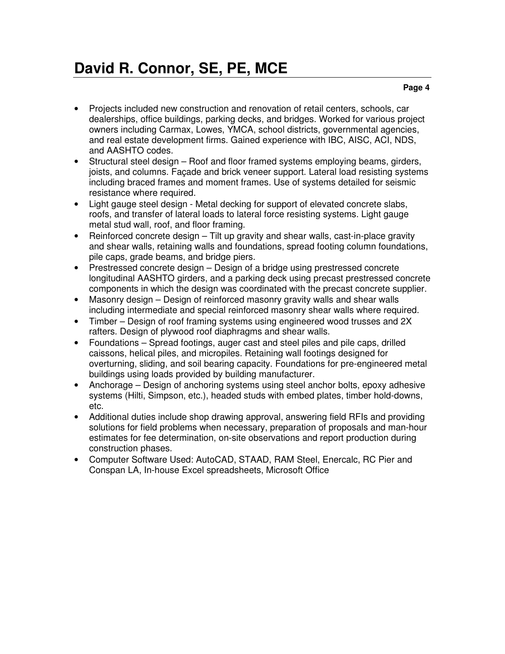- Projects included new construction and renovation of retail centers, schools, car dealerships, office buildings, parking decks, and bridges. Worked for various project owners including Carmax, Lowes, YMCA, school districts, governmental agencies, and real estate development firms. Gained experience with IBC, AISC, ACI, NDS, and AASHTO codes.
- Structural steel design Roof and floor framed systems employing beams, girders, joists, and columns. Façade and brick veneer support. Lateral load resisting systems including braced frames and moment frames. Use of systems detailed for seismic resistance where required.
- Light gauge steel design Metal decking for support of elevated concrete slabs, roofs, and transfer of lateral loads to lateral force resisting systems. Light gauge metal stud wall, roof, and floor framing.
- Reinforced concrete design Tilt up gravity and shear walls, cast-in-place gravity and shear walls, retaining walls and foundations, spread footing column foundations, pile caps, grade beams, and bridge piers.
- Prestressed concrete design Design of a bridge using prestressed concrete longitudinal AASHTO girders, and a parking deck using precast prestressed concrete components in which the design was coordinated with the precast concrete supplier.
- Masonry design Design of reinforced masonry gravity walls and shear walls including intermediate and special reinforced masonry shear walls where required.
- Timber Design of roof framing systems using engineered wood trusses and 2X rafters. Design of plywood roof diaphragms and shear walls.
- Foundations Spread footings, auger cast and steel piles and pile caps, drilled caissons, helical piles, and micropiles. Retaining wall footings designed for overturning, sliding, and soil bearing capacity. Foundations for pre-engineered metal buildings using loads provided by building manufacturer.
- Anchorage Design of anchoring systems using steel anchor bolts, epoxy adhesive systems (Hilti, Simpson, etc.), headed studs with embed plates, timber hold-downs, etc.
- Additional duties include shop drawing approval, answering field RFIs and providing solutions for field problems when necessary, preparation of proposals and man-hour estimates for fee determination, on-site observations and report production during construction phases.
- Computer Software Used: AutoCAD, STAAD, RAM Steel, Enercalc, RC Pier and Conspan LA, In-house Excel spreadsheets, Microsoft Office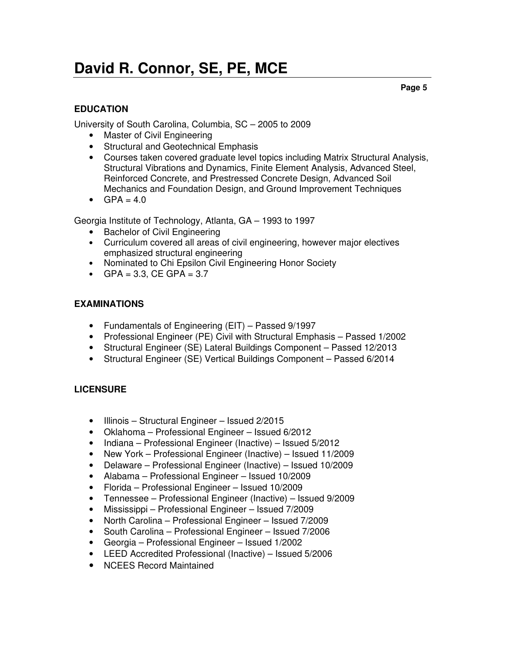**Page 5** 

### **EDUCATION**

University of South Carolina, Columbia, SC – 2005 to 2009

- Master of Civil Engineering
- Structural and Geotechnical Emphasis
- Courses taken covered graduate level topics including Matrix Structural Analysis, Structural Vibrations and Dynamics, Finite Element Analysis, Advanced Steel, Reinforced Concrete, and Prestressed Concrete Design, Advanced Soil Mechanics and Foundation Design, and Ground Improvement Techniques
- $GPA = 4.0$

Georgia Institute of Technology, Atlanta, GA – 1993 to 1997

- Bachelor of Civil Engineering
- Curriculum covered all areas of civil engineering, however major electives emphasized structural engineering
- Nominated to Chi Epsilon Civil Engineering Honor Society
- GPA =  $3.3$ , CE GPA =  $3.7$

#### **EXAMINATIONS**

- Fundamentals of Engineering (EIT) Passed 9/1997
- Professional Engineer (PE) Civil with Structural Emphasis Passed 1/2002
- Structural Engineer (SE) Lateral Buildings Component Passed 12/2013
- Structural Engineer (SE) Vertical Buildings Component Passed 6/2014

#### **LICENSURE**

- Illinois Structural Engineer Issued 2/2015
- Oklahoma Professional Engineer Issued 6/2012
- Indiana Professional Engineer (Inactive) Issued 5/2012
- New York Professional Engineer (Inactive) Issued 11/2009
- Delaware Professional Engineer (Inactive) Issued 10/2009
- Alabama Professional Engineer Issued 10/2009
- Florida Professional Engineer Issued 10/2009
- Tennessee Professional Engineer (Inactive) Issued 9/2009
- Mississippi Professional Engineer Issued 7/2009
- North Carolina Professional Engineer Issued 7/2009
- South Carolina Professional Engineer Issued 7/2006
- Georgia Professional Engineer Issued 1/2002
- LEED Accredited Professional (Inactive) Issued 5/2006
- NCEES Record Maintained